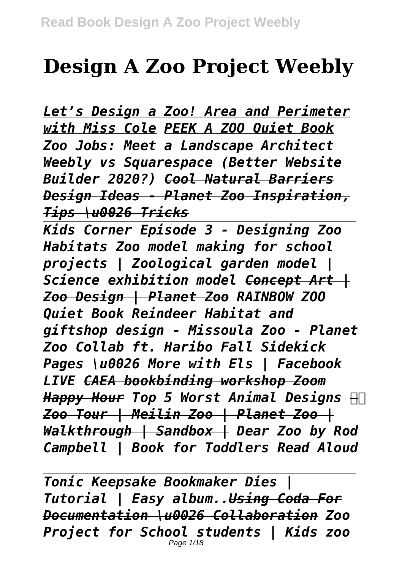## **Design A Zoo Project Weebly**

*Let's Design a Zoo! Area and Perimeter with Miss Cole PEEK A ZOO Quiet Book Zoo Jobs: Meet a Landscape Architect Weebly vs Squarespace (Better Website Builder 2020?) Cool Natural Barriers Design Ideas - Planet Zoo Inspiration, Tips \u0026 Tricks*

*Kids Corner Episode 3 - Designing Zoo Habitats Zoo model making for school projects | Zoological garden model | Science exhibition model Concept Art | Zoo Design | Planet Zoo RAINBOW ZOO Quiet Book Reindeer Habitat and giftshop design - Missoula Zoo - Planet Zoo Collab ft. Haribo Fall Sidekick Pages \u0026 More with Els | Facebook LIVE CAEA bookbinding workshop Zoom Happy Hour Top 5 Worst Animal Designs Zoo Tour | Meilin Zoo | Planet Zoo | Walkthrough | Sandbox | Dear Zoo by Rod Campbell | Book for Toddlers Read Aloud*

*Tonic Keepsake Bookmaker Dies | Tutorial | Easy album..Using Coda For Documentation \u0026 Collaboration Zoo Project for School students | Kids zoo* Page 1/18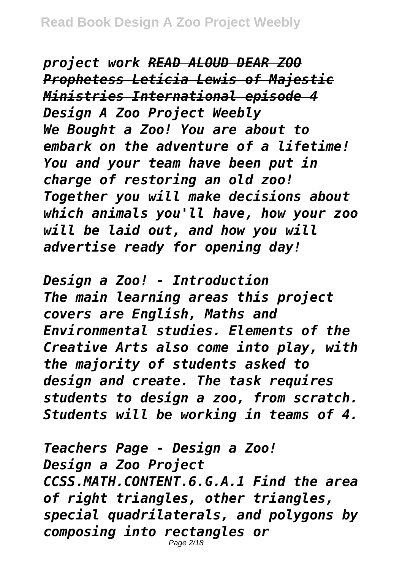*project work READ ALOUD DEAR ZOO Prophetess Leticia Lewis of Majestic Ministries International episode 4 Design A Zoo Project Weebly We Bought a Zoo! You are about to embark on the adventure of a lifetime! You and your team have been put in charge of restoring an old zoo! Together you will make decisions about which animals you'll have, how your zoo will be laid out, and how you will advertise ready for opening day!*

*Design a Zoo! - Introduction The main learning areas this project covers are English, Maths and Environmental studies. Elements of the Creative Arts also come into play, with the majority of students asked to design and create. The task requires students to design a zoo, from scratch. Students will be working in teams of 4.*

*Teachers Page - Design a Zoo! Design a Zoo Project CCSS.MATH.CONTENT.6.G.A.1 Find the area of right triangles, other triangles, special quadrilaterals, and polygons by composing into rectangles or* Page 2/18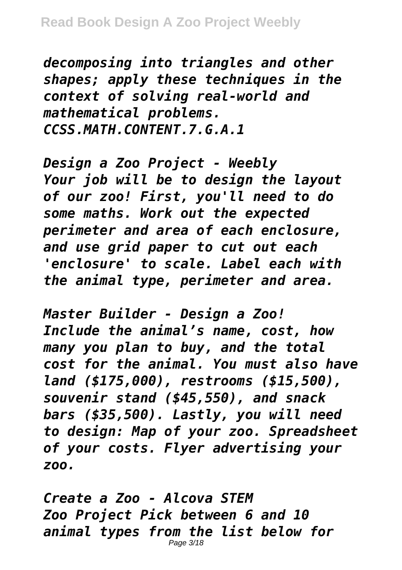*decomposing into triangles and other shapes; apply these techniques in the context of solving real-world and mathematical problems. CCSS.MATH.CONTENT.7.G.A.1*

*Design a Zoo Project - Weebly Your job will be to design the layout of our zoo! First, you'll need to do some maths. Work out the expected perimeter and area of each enclosure, and use grid paper to cut out each 'enclosure' to scale. Label each with the animal type, perimeter and area.*

*Master Builder - Design a Zoo! Include the animal's name, cost, how many you plan to buy, and the total cost for the animal. You must also have land (\$175,000), restrooms (\$15,500), souvenir stand (\$45,550), and snack bars (\$35,500). Lastly, you will need to design: Map of your zoo. Spreadsheet of your costs. Flyer advertising your zoo.*

*Create a Zoo - Alcova STEM Zoo Project Pick between 6 and 10 animal types from the list below for* Page 3/18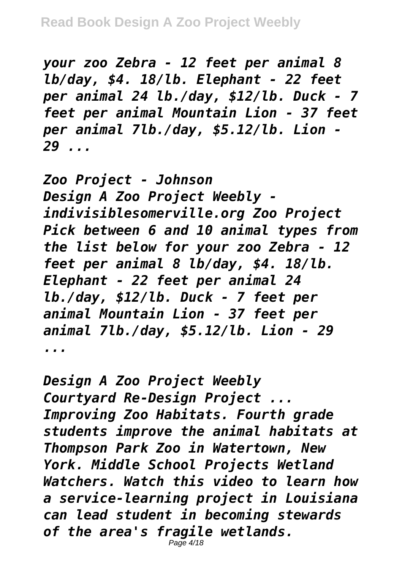*your zoo Zebra - 12 feet per animal 8 lb/day, \$4. 18/lb. Elephant - 22 feet per animal 24 lb./day, \$12/lb. Duck - 7 feet per animal Mountain Lion - 37 feet per animal 7lb./day, \$5.12/lb. Lion - 29 ...*

*Zoo Project - Johnson Design A Zoo Project Weebly indivisiblesomerville.org Zoo Project Pick between 6 and 10 animal types from the list below for your zoo Zebra - 12 feet per animal 8 lb/day, \$4. 18/lb. Elephant - 22 feet per animal 24 lb./day, \$12/lb. Duck - 7 feet per animal Mountain Lion - 37 feet per animal 7lb./day, \$5.12/lb. Lion - 29 ...*

*Design A Zoo Project Weebly Courtyard Re-Design Project ... Improving Zoo Habitats. Fourth grade students improve the animal habitats at Thompson Park Zoo in Watertown, New York. Middle School Projects Wetland Watchers. Watch this video to learn how a service-learning project in Louisiana can lead student in becoming stewards of the area's fragile wetlands.* Page 4/18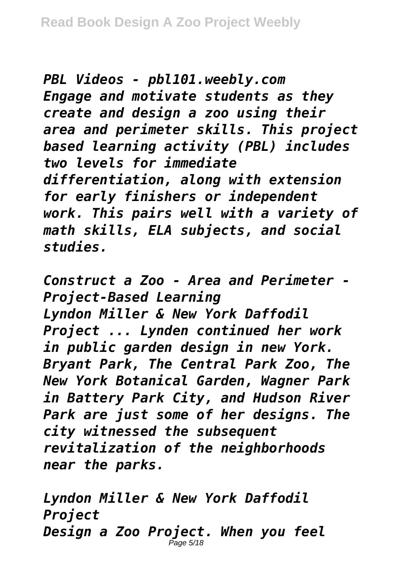*PBL Videos - pbl101.weebly.com Engage and motivate students as they create and design a zoo using their area and perimeter skills. This project based learning activity (PBL) includes two levels for immediate differentiation, along with extension for early finishers or independent work. This pairs well with a variety of math skills, ELA subjects, and social studies.*

*Construct a Zoo - Area and Perimeter - Project-Based Learning Lyndon Miller & New York Daffodil Project ... Lynden continued her work in public garden design in new York. Bryant Park, The Central Park Zoo, The New York Botanical Garden, Wagner Park in Battery Park City, and Hudson River Park are just some of her designs. The city witnessed the subsequent revitalization of the neighborhoods near the parks.*

*Lyndon Miller & New York Daffodil Project Design a Zoo Project. When you feel* Page 5/18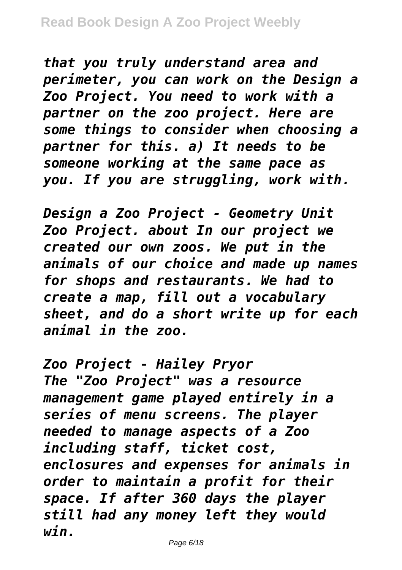*that you truly understand area and perimeter, you can work on the Design a Zoo Project. You need to work with a partner on the zoo project. Here are some things to consider when choosing a partner for this. a) It needs to be someone working at the same pace as you. If you are struggling, work with.*

*Design a Zoo Project - Geometry Unit Zoo Project. about In our project we created our own zoos. We put in the animals of our choice and made up names for shops and restaurants. We had to create a map, fill out a vocabulary sheet, and do a short write up for each animal in the zoo.*

*Zoo Project - Hailey Pryor The "Zoo Project" was a resource management game played entirely in a series of menu screens. The player needed to manage aspects of a Zoo including staff, ticket cost, enclosures and expenses for animals in order to maintain a profit for their space. If after 360 days the player still had any money left they would win.*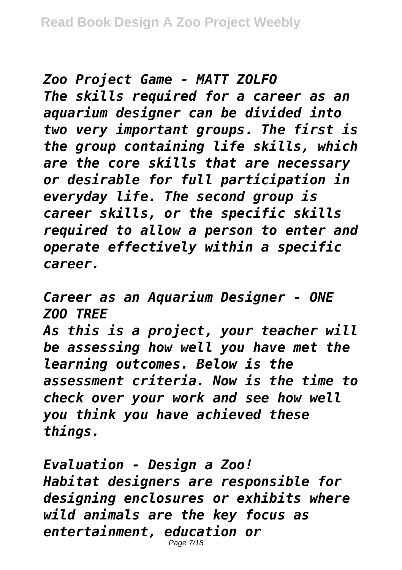*Zoo Project Game - MATT ZOLFO The skills required for a career as an aquarium designer can be divided into two very important groups. The first is the group containing life skills, which are the core skills that are necessary or desirable for full participation in everyday life. The second group is career skills, or the specific skills required to allow a person to enter and operate effectively within a specific career.*

*Career as an Aquarium Designer - ONE ZOO TREE As this is a project, your teacher will be assessing how well you have met the learning outcomes. Below is the assessment criteria. Now is the time to check over your work and see how well you think you have achieved these things.*

*Evaluation - Design a Zoo! Habitat designers are responsible for designing enclosures or exhibits where wild animals are the key focus as entertainment, education or* Page 7/18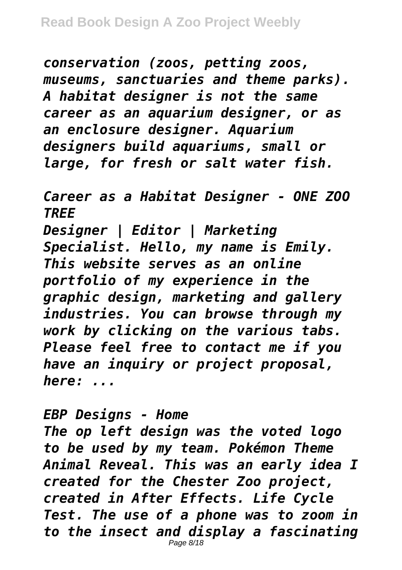*conservation (zoos, petting zoos, museums, sanctuaries and theme parks). A habitat designer is not the same career as an aquarium designer, or as an enclosure designer. Aquarium designers build aquariums, small or large, for fresh or salt water fish.*

*Career as a Habitat Designer - ONE ZOO TREE Designer | Editor | Marketing Specialist. Hello, my name is Emily. This website serves as an online portfolio of my experience in the graphic design, marketing and gallery industries. You can browse through my work by clicking on the various tabs. Please feel free to contact me if you have an inquiry or project proposal, here: ...*

*EBP Designs - Home*

*The op left design was the voted logo to be used by my team. Pokémon Theme Animal Reveal. This was an early idea I created for the Chester Zoo project, created in After Effects. Life Cycle Test. The use of a phone was to zoom in to the insect and display a fascinating* Page 8/18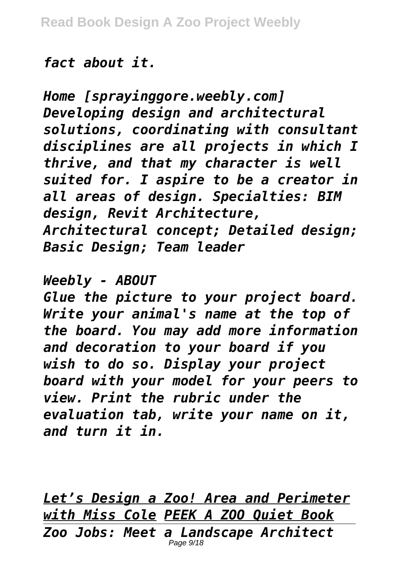## *fact about it.*

*Home [sprayinggore.weebly.com] Developing design and architectural solutions, coordinating with consultant disciplines are all projects in which I thrive, and that my character is well suited for. I aspire to be a creator in all areas of design. Specialties: BIM design, Revit Architecture, Architectural concept; Detailed design; Basic Design; Team leader*

## *Weebly - ABOUT*

*Glue the picture to your project board. Write your animal's name at the top of the board. You may add more information and decoration to your board if you wish to do so. Display your project board with your model for your peers to view. Print the rubric under the evaluation tab, write your name on it, and turn it in.*

*Let's Design a Zoo! Area and Perimeter with Miss Cole PEEK A ZOO Quiet Book Zoo Jobs: Meet a Landscape Architect* Page  $9/18$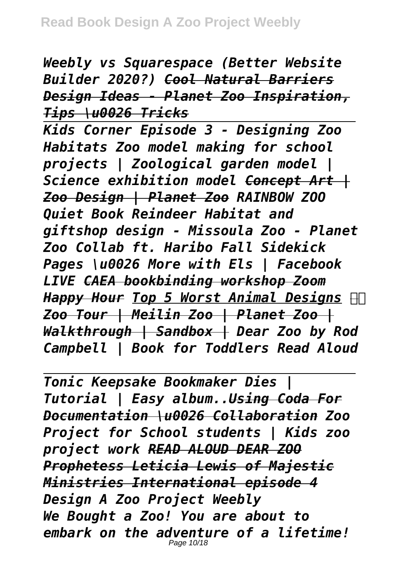*Weebly vs Squarespace (Better Website Builder 2020?) Cool Natural Barriers Design Ideas - Planet Zoo Inspiration, Tips \u0026 Tricks*

*Kids Corner Episode 3 - Designing Zoo Habitats Zoo model making for school projects | Zoological garden model | Science exhibition model Concept Art | Zoo Design | Planet Zoo RAINBOW ZOO Quiet Book Reindeer Habitat and giftshop design - Missoula Zoo - Planet Zoo Collab ft. Haribo Fall Sidekick Pages \u0026 More with Els | Facebook LIVE CAEA bookbinding workshop Zoom Happy Hour Top 5 Worst Animal Designs Zoo Tour | Meilin Zoo | Planet Zoo | Walkthrough | Sandbox | Dear Zoo by Rod Campbell | Book for Toddlers Read Aloud*

*Tonic Keepsake Bookmaker Dies | Tutorial | Easy album..Using Coda For Documentation \u0026 Collaboration Zoo Project for School students | Kids zoo project work READ ALOUD DEAR ZOO Prophetess Leticia Lewis of Majestic Ministries International episode 4 Design A Zoo Project Weebly We Bought a Zoo! You are about to embark on the adventure of a lifetime!* Page 10/18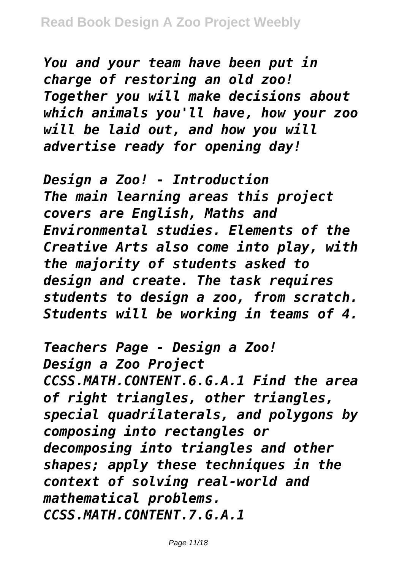*You and your team have been put in charge of restoring an old zoo! Together you will make decisions about which animals you'll have, how your zoo will be laid out, and how you will advertise ready for opening day!*

*Design a Zoo! - Introduction The main learning areas this project covers are English, Maths and Environmental studies. Elements of the Creative Arts also come into play, with the majority of students asked to design and create. The task requires students to design a zoo, from scratch. Students will be working in teams of 4.*

*Teachers Page - Design a Zoo! Design a Zoo Project CCSS.MATH.CONTENT.6.G.A.1 Find the area of right triangles, other triangles, special quadrilaterals, and polygons by composing into rectangles or decomposing into triangles and other shapes; apply these techniques in the context of solving real-world and mathematical problems. CCSS.MATH.CONTENT.7.G.A.1*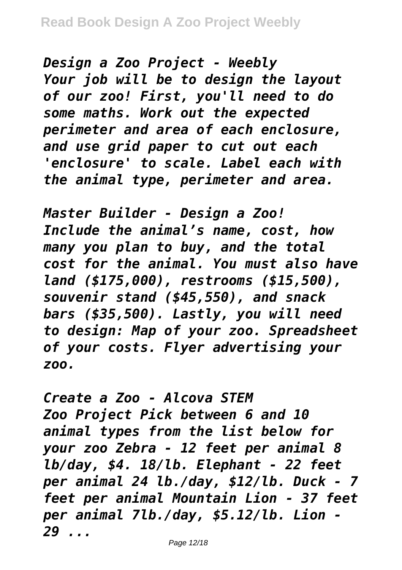*Design a Zoo Project - Weebly Your job will be to design the layout of our zoo! First, you'll need to do some maths. Work out the expected perimeter and area of each enclosure, and use grid paper to cut out each 'enclosure' to scale. Label each with the animal type, perimeter and area.*

*Master Builder - Design a Zoo! Include the animal's name, cost, how many you plan to buy, and the total cost for the animal. You must also have land (\$175,000), restrooms (\$15,500), souvenir stand (\$45,550), and snack bars (\$35,500). Lastly, you will need to design: Map of your zoo. Spreadsheet of your costs. Flyer advertising your zoo.*

*Create a Zoo - Alcova STEM Zoo Project Pick between 6 and 10 animal types from the list below for your zoo Zebra - 12 feet per animal 8 lb/day, \$4. 18/lb. Elephant - 22 feet per animal 24 lb./day, \$12/lb. Duck - 7 feet per animal Mountain Lion - 37 feet per animal 7lb./day, \$5.12/lb. Lion - 29 ...*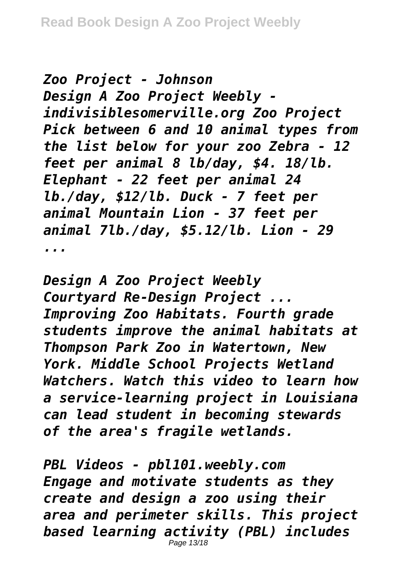*Zoo Project - Johnson Design A Zoo Project Weebly indivisiblesomerville.org Zoo Project Pick between 6 and 10 animal types from the list below for your zoo Zebra - 12 feet per animal 8 lb/day, \$4. 18/lb. Elephant - 22 feet per animal 24 lb./day, \$12/lb. Duck - 7 feet per animal Mountain Lion - 37 feet per animal 7lb./day, \$5.12/lb. Lion - 29 ...*

*Design A Zoo Project Weebly Courtyard Re-Design Project ... Improving Zoo Habitats. Fourth grade students improve the animal habitats at Thompson Park Zoo in Watertown, New York. Middle School Projects Wetland Watchers. Watch this video to learn how a service-learning project in Louisiana can lead student in becoming stewards of the area's fragile wetlands.*

*PBL Videos - pbl101.weebly.com Engage and motivate students as they create and design a zoo using their area and perimeter skills. This project based learning activity (PBL) includes* Page 13/18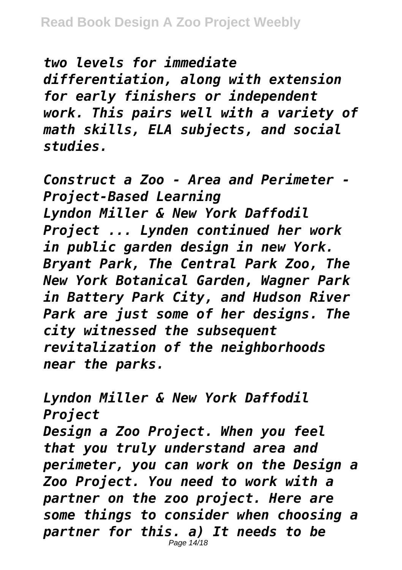*two levels for immediate differentiation, along with extension for early finishers or independent work. This pairs well with a variety of math skills, ELA subjects, and social studies.*

*Construct a Zoo - Area and Perimeter - Project-Based Learning Lyndon Miller & New York Daffodil Project ... Lynden continued her work in public garden design in new York. Bryant Park, The Central Park Zoo, The New York Botanical Garden, Wagner Park in Battery Park City, and Hudson River Park are just some of her designs. The city witnessed the subsequent revitalization of the neighborhoods near the parks.*

*Lyndon Miller & New York Daffodil Project Design a Zoo Project. When you feel that you truly understand area and perimeter, you can work on the Design a Zoo Project. You need to work with a partner on the zoo project. Here are some things to consider when choosing a partner for this. a) It needs to be* Page 14/18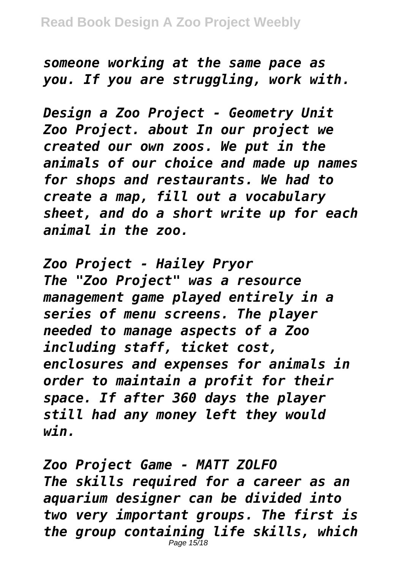*someone working at the same pace as you. If you are struggling, work with.*

*Design a Zoo Project - Geometry Unit Zoo Project. about In our project we created our own zoos. We put in the animals of our choice and made up names for shops and restaurants. We had to create a map, fill out a vocabulary sheet, and do a short write up for each animal in the zoo.*

*Zoo Project - Hailey Pryor The "Zoo Project" was a resource management game played entirely in a series of menu screens. The player needed to manage aspects of a Zoo including staff, ticket cost, enclosures and expenses for animals in order to maintain a profit for their space. If after 360 days the player still had any money left they would win.*

*Zoo Project Game - MATT ZOLFO The skills required for a career as an aquarium designer can be divided into two very important groups. The first is the group containing life skills, which* Page 15/18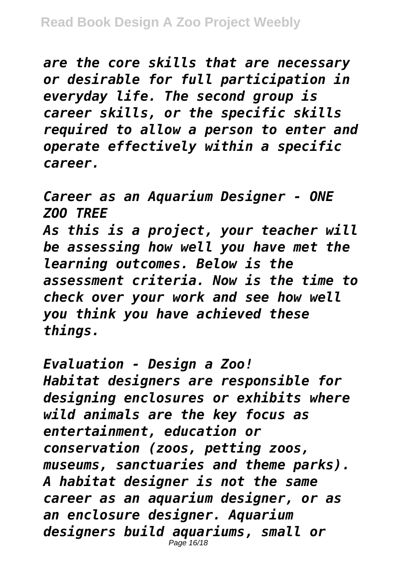*are the core skills that are necessary or desirable for full participation in everyday life. The second group is career skills, or the specific skills required to allow a person to enter and operate effectively within a specific career.*

*Career as an Aquarium Designer - ONE ZOO TREE As this is a project, your teacher will be assessing how well you have met the learning outcomes. Below is the assessment criteria. Now is the time to check over your work and see how well you think you have achieved these things.*

*Evaluation - Design a Zoo! Habitat designers are responsible for designing enclosures or exhibits where wild animals are the key focus as entertainment, education or conservation (zoos, petting zoos, museums, sanctuaries and theme parks). A habitat designer is not the same career as an aquarium designer, or as an enclosure designer. Aquarium designers build aquariums, small or* Page 16/18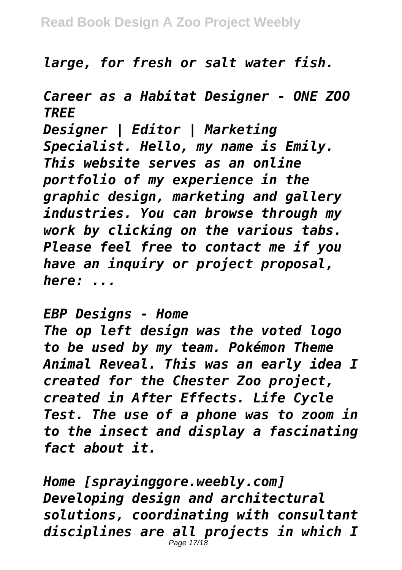*large, for fresh or salt water fish.*

*Career as a Habitat Designer - ONE ZOO TREE*

*Designer | Editor | Marketing Specialist. Hello, my name is Emily. This website serves as an online portfolio of my experience in the graphic design, marketing and gallery industries. You can browse through my work by clicking on the various tabs. Please feel free to contact me if you have an inquiry or project proposal, here: ...*

*EBP Designs - Home*

*The op left design was the voted logo to be used by my team. Pokémon Theme Animal Reveal. This was an early idea I created for the Chester Zoo project, created in After Effects. Life Cycle Test. The use of a phone was to zoom in to the insect and display a fascinating fact about it.*

*Home [sprayinggore.weebly.com] Developing design and architectural solutions, coordinating with consultant disciplines are all projects in which I* Page 17/18